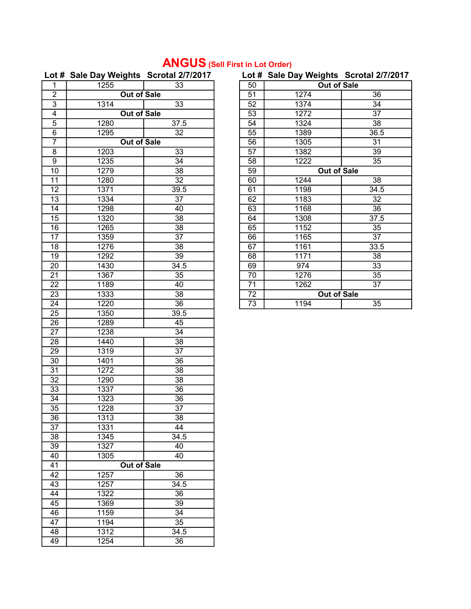# ANGUS (Sell First in Lot Order)

## Lot # Sale Day Weights Scrotal 2/7/2017 Lot # Sale Day Weights Scrotal 2/7/2017

| .               |                    | <br>.           | . . <i></i>     | <br>$\cdots$ g $\cdots$ $\cdots$ |                 |
|-----------------|--------------------|-----------------|-----------------|----------------------------------|-----------------|
| 1               | 1255               | 33              | 50              | <b>Out of Sale</b>               |                 |
| $\overline{2}$  | <b>Out of Sale</b> |                 | 51              | 1274                             | 36              |
| 3               | 1314               | 33              | 52              | 1374                             | 34              |
| 4               | Out of Sale        |                 | 53              | 1272                             | 37              |
| $\overline{5}$  | 1280               | 37.5            | 54              | 1324                             | 38              |
| $\overline{6}$  | 1295               | 32              | $\overline{55}$ | 1389                             | 36.5            |
| $\overline{7}$  | <b>Out of Sale</b> |                 | $\overline{56}$ | 1305                             | 31              |
| $\overline{8}$  | 1203               | $\overline{33}$ | $\overline{57}$ | 1382                             | $\overline{39}$ |
| $\overline{9}$  | 1235               | $\overline{34}$ | 58              | 1222                             | $\overline{35}$ |
| 10              | 1279               | $\overline{38}$ | 59              | <b>Out of Sale</b>               |                 |
| $\overline{11}$ | 1280               | $\overline{32}$ | 60              | 1244                             | $\overline{38}$ |
| $\overline{12}$ | 1371               | 39.5            | 61              | 1198                             | 34.5            |
| 13              | 1334               | $\overline{37}$ | 62              | 1183                             | $\overline{32}$ |
| 14              | 1298               | 40              | 63              | 1168                             | 36              |
| 15              | 1320               | $\overline{38}$ | 64              | 1308                             | 37.5            |
| 16              | 1265               | 38              | 65              | 1152                             | 35              |
| 17              | 1359               | $\overline{37}$ | 66              | 1165                             | 37              |
| 18              | 1276               | 38              | 67              | 1161                             | 33.5            |
| 19              | 1292               | $\overline{39}$ | 68              | 1171                             | 38              |
| 20              | 1430               | 34.5            | 69              | 974                              | 33              |
| 21              | 1367               | 35              | 70              | 1276                             | 35              |
| 22              | 1189               | 40              | 71              | 1262                             | 37              |
| 23              | 1333               | $\overline{38}$ | 72              | <b>Out of Sale</b>               |                 |
| 24              | 1220               | $\overline{36}$ | 73              | 1194                             | 35              |
| 25              | 1350               | 39.5            |                 |                                  |                 |
| 26              | 1289               | 45<br>34        |                 |                                  |                 |
| 27<br>28        | 1238<br>1440       | 38              |                 |                                  |                 |
| 29              | 1319               | 37              |                 |                                  |                 |
| $\overline{30}$ | 1401               | $\overline{36}$ |                 |                                  |                 |
| $\overline{31}$ | 1272               | 38              |                 |                                  |                 |
| $\overline{32}$ | 1290               | $\overline{38}$ |                 |                                  |                 |
| 33              | 1337               | 36              |                 |                                  |                 |
| 34              | 1323               | 36              |                 |                                  |                 |
| 35              | 1228               | $\overline{37}$ |                 |                                  |                 |
| $\overline{36}$ | 1313               | $\overline{38}$ |                 |                                  |                 |
| 37              | 1331               | 44              |                 |                                  |                 |
| 38              | 1345               | 34.5            |                 |                                  |                 |
| 39              | 1327               | 40              |                 |                                  |                 |
| 40              | 1305               | 40              |                 |                                  |                 |
| 41              | <b>Out of Sale</b> |                 |                 |                                  |                 |
| 42              | 1257<br>36         |                 |                 |                                  |                 |
| 43              | 1257               | 34.5            |                 |                                  |                 |
| 44              | 1322               | 36              |                 |                                  |                 |
| 45              | 1369               | 39              |                 |                                  |                 |
| 46              | 1159               | 34              |                 |                                  |                 |
| 47              | 1194               | 35              |                 |                                  |                 |
| 48              | 1312               | 34.5            |                 |                                  |                 |
| 49              | 1254               | 36              |                 |                                  |                 |
|                 |                    |                 |                 |                                  |                 |

| 50 | ⋍<br><b>Out of Sale</b> |                 |  |
|----|-------------------------|-----------------|--|
| 51 | 1274                    | 36              |  |
| 52 | 1374                    | 34              |  |
|    |                         |                 |  |
| 53 | 1272                    | 37              |  |
| 54 | 1324                    | 38              |  |
| 55 | 1389                    | 36.5            |  |
| 56 | 1305                    | 31              |  |
| 57 | 1382                    | 39              |  |
| 58 | 1222                    | 35              |  |
| 59 | Out of Sale             |                 |  |
| 60 | 1244                    | 38              |  |
| 61 | 1198                    | 34.5            |  |
| 62 | 1183                    | 32              |  |
| 63 | 1168                    | $\overline{36}$ |  |
| 64 | 1308                    | 37.5            |  |
| 65 | 1152                    | 35              |  |
| 66 | 1165                    | 37              |  |
| 67 | 1161                    | 33.5            |  |
| 68 | 1171                    | 38              |  |
| 69 | 974                     | 33              |  |
| 70 | 1276                    | 35              |  |
| 71 | 1262                    | 37              |  |
| 72 | <b>Out of Sale</b>      |                 |  |
| 73 | 1194                    | 35              |  |